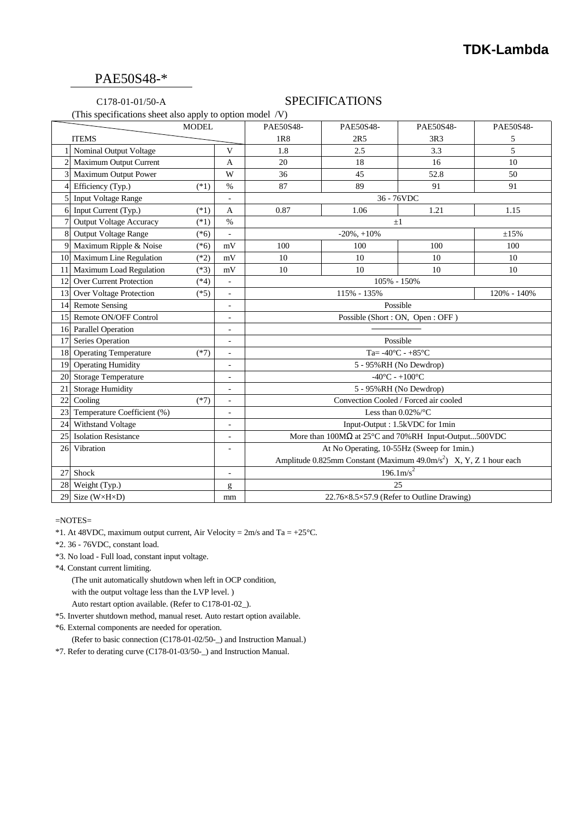# PAE50S48-\*

#### C178-01-01/50-A SPECIFICATIONS

(This specifications sheet also apply to option model /V)

|                |                                   | <b>MODEL</b> |                          | PAE50S48-                                                                      | PAE50S48-   | PAE50S48-                                                 | PAE50S48-   |
|----------------|-----------------------------------|--------------|--------------------------|--------------------------------------------------------------------------------|-------------|-----------------------------------------------------------|-------------|
|                | <b>ITEMS</b>                      |              |                          | 1R8                                                                            | 2R5         | 3R3                                                       | 5           |
|                | Nominal Output Voltage            |              | V                        | 1.8                                                                            | 2.5         | 3.3                                                       | 5           |
|                | 2 Maximum Output Current          |              | A                        | 20                                                                             | 18          | 16                                                        | 10          |
|                | 3 Maximum Output Power            |              | W                        | 36                                                                             | 45          | 52.8                                                      | 50          |
|                | Efficiency (Typ.)                 | $(*1)$       | $\%$                     | 87                                                                             | 89          | 91                                                        | 91          |
| 5 <sup>1</sup> | <b>Input Voltage Range</b>        |              |                          | 36 - 76VDC                                                                     |             |                                                           |             |
|                | 6 Input Current (Typ.)            | $(*1)$       | A                        | 0.87                                                                           | 1.06        | 1.21                                                      | 1.15        |
|                | <b>Output Voltage Accuracy</b>    | $(*1)$       | $\%$                     | $\pm 1$                                                                        |             |                                                           |             |
|                | 8 Output Voltage Range            | $(*6)$       | ÷,                       | $\pm 15%$<br>$-20\%$ , $+10\%$                                                 |             |                                                           |             |
|                | 9 Maximum Ripple & Noise          | $(*6)$       | mV                       | 100                                                                            | 100         | 100                                                       | 100         |
|                | 10 Maximum Line Regulation        | $(*2)$       | mV                       | 10                                                                             | 10          | 10                                                        | 10          |
|                | 11 Maximum Load Regulation        | $(*3)$       | mV                       | 10                                                                             | 10          | 10                                                        | 10          |
|                | 12 Over Current Protection        | $(*4)$       | $\overline{\phantom{a}}$ | 105% - 150%                                                                    |             |                                                           |             |
|                | 13 Over Voltage Protection        | $(*5)$       | $\overline{\phantom{a}}$ |                                                                                | 115% - 135% |                                                           | 120% - 140% |
|                | 14 Remote Sensing                 |              | $\overline{\phantom{a}}$ | Possible                                                                       |             |                                                           |             |
|                | 15 Remote ON/OFF Control          |              | $\overline{\phantom{a}}$ |                                                                                |             | Possible (Short: ON, Open: OFF)                           |             |
|                | 16 Parallel Operation             |              |                          |                                                                                |             |                                                           |             |
|                | 17 Series Operation               |              | $\overline{\phantom{a}}$ |                                                                                |             | Possible                                                  |             |
|                | 18 Operating Temperature          | $(*7)$       | $\overline{\phantom{a}}$ | Ta= $-40^{\circ}$ C - $+85^{\circ}$ C                                          |             |                                                           |             |
|                | 19 Operating Humidity             |              | ÷,                       |                                                                                |             | 5 - 95%RH (No Dewdrop)                                    |             |
|                | 20 Storage Temperature            |              | ÷,                       |                                                                                |             | $-40^{\circ}$ C - $+100^{\circ}$ C                        |             |
|                | 21 Storage Humidity               |              | $\overline{\phantom{a}}$ |                                                                                |             | 5 - 95%RH (No Dewdrop)                                    |             |
|                | 22 Cooling                        | $(*7)$       | $\sim$                   | Convection Cooled / Forced air cooled                                          |             |                                                           |             |
| 23             | Temperature Coefficient (%)       |              | $\overline{\phantom{a}}$ |                                                                                |             | Less than $0.02\%$ /°C                                    |             |
|                | 24 Withstand Voltage              |              |                          | Input-Output: 1.5kVDC for 1min                                                 |             |                                                           |             |
| 25             | <b>Isolation Resistance</b>       |              | L,                       | More than $100M\Omega$ at $25^{\circ}$ C and $70\%$ RH Input-Output500VDC      |             |                                                           |             |
| 26             | Vibration                         |              | $\overline{\phantom{a}}$ | At No Operating, 10-55Hz (Sweep for 1min.)                                     |             |                                                           |             |
|                |                                   |              |                          | Amplitude 0.825mm Constant (Maximum 49.0m/s <sup>2</sup> ) X, Y, Z 1 hour each |             |                                                           |             |
|                | Shock                             |              |                          | $196.1 \text{m/s}^2$                                                           |             |                                                           |             |
|                | 28 Weight (Typ.)                  | 25<br>g      |                          |                                                                                |             |                                                           |             |
|                | 29 Size (W $\times$ H $\times$ D) |              | mm                       |                                                                                |             | $22.76 \times 8.5 \times 57.9$ (Refer to Outline Drawing) |             |

=NOTES=

\*1. At 48VDC, maximum output current, Air Velocity =  $2m/s$  and Ta =  $+25^{\circ}$ C.

\*2. 36 - 76VDC, constant load.

\*3. No load - Full load, constant input voltage.

\*4. Constant current limiting.

(The unit automatically shutdown when left in OCP condition,

with the output voltage less than the LVP level. )

Auto restart option available. (Refer to C178-01-02\_).

- \*5. Inverter shutdown method, manual reset. Auto restart option available.
- \*6. External components are needed for operation.

(Refer to basic connection (C178-01-02/50-\_) and Instruction Manual.)

\*7. Refer to derating curve (C178-01-03/50-\_) and Instruction Manual.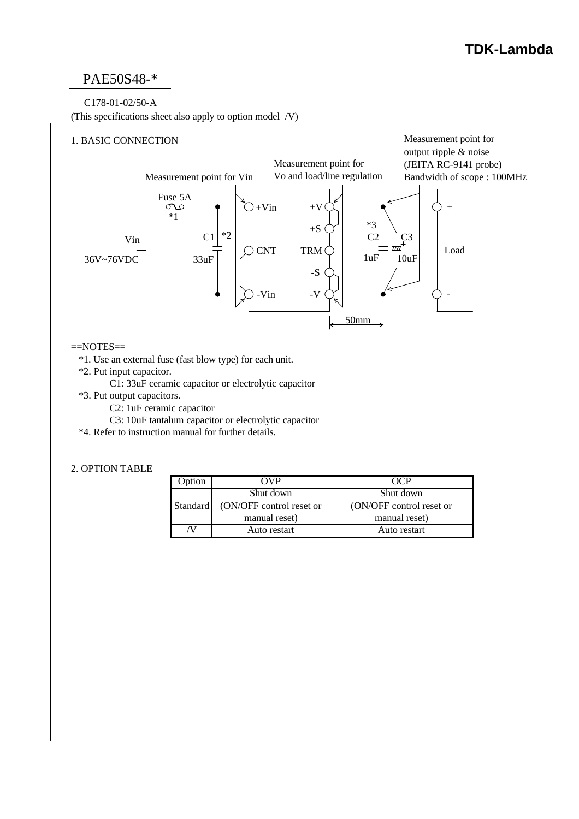# **TDK-Lambda**

# PAE50S48-\*

## C178-01-02/50-A

(This specifications sheet also apply to option model /V)



## $=$ NOTES $=$

- \*1. Use an external fuse (fast blow type) for each unit.
- \*2. Put input capacitor.
	- C1: 33uF ceramic capacitor or electrolytic capacitor
- \*3. Put output capacitors.
	- C2: 1uF ceramic capacitor
	- C3: 10uF tantalum capacitor or electrolytic capacitor
- \*4. Refer to instruction manual for further details.

## 2. OPTION TABLE

| Option          | OVP                      | ∩CP                      |  |  |
|-----------------|--------------------------|--------------------------|--|--|
|                 | Shut down                | Shut down                |  |  |
| <b>Standard</b> | (ON/OFF control reset or | (ON/OFF control reset or |  |  |
|                 | manual reset)            | manual reset)            |  |  |
|                 | Auto restart             | Auto restart             |  |  |